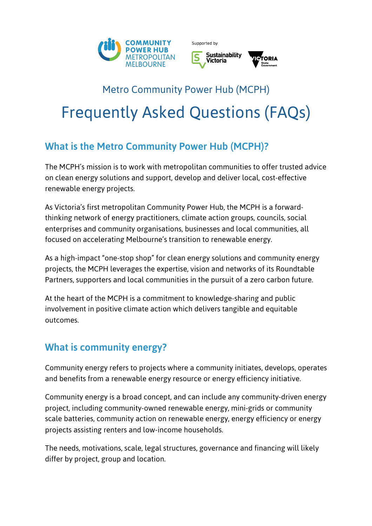

Supported by



# Metro Community Power Hub (MCPH) Frequently Asked Questions (FAQs)

# What is the Metro Community Power Hub (MCPH)?

The MCPH's mission is to work with metropolitan communities to offer trusted advice on clean energy solutions and support, develop and deliver local, cost-effective renewable energy projects.

As Victoria's first metropolitan Community Power Hub, the MCPH is a forwardthinking network of energy practitioners, climate action groups, councils, social enterprises and community organisations, businesses and local communities, all focused on accelerating Melbourne's transition to renewable energy.

As a high-impact "one-stop shop" for clean energy solutions and community energy projects, the MCPH leverages the expertise, vision and networks of its Roundtable Partners, supporters and local communities in the pursuit of a zero carbon future.

At the heart of the MCPH is a commitment to knowledge-sharing and public involvement in positive climate action which delivers tangible and equitable outcomes.

## What is community energy?

Community energy refers to projects where a community initiates, develops, operates and benefits from a renewable energy resource or energy efficiency initiative.

Community energy is a broad concept, and can include any community-driven energy project, including community-owned renewable energy, mini-grids or community scale batteries, community action on renewable energy, energy efficiency or energy projects assisting renters and low-income households.

The needs, motivations, scale, legal structures, governance and financing will likely differ by project, group and location.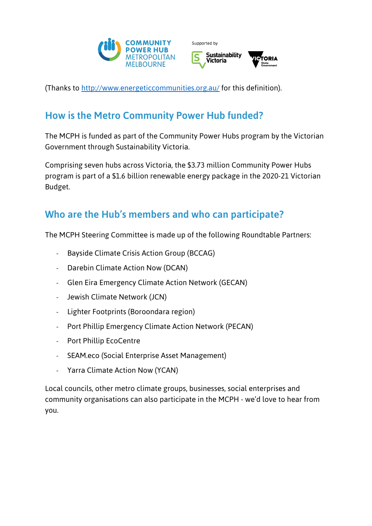



(Thanks to http://www.energeticcommunities.org.au/ for this definition).

# How is the Metro Community Power Hub funded?

The MCPH is funded as part of the Community Power Hubs program by the Victorian Government through Sustainability Victoria.

Comprising seven hubs across Victoria, the \$3.73 million Community Power Hubs program is part of a \$1.6 billion renewable energy package in the 2020-21 Victorian Budget.

## Who are the Hub's members and who can participate?

The MCPH Steering Committee is made up of the following Roundtable Partners:

- Bayside Climate Crisis Action Group (BCCAG)
- Darebin Climate Action Now (DCAN)
- Glen Eira Emergency Climate Action Network (GECAN)
- Jewish Climate Network (JCN)
- Lighter Footprints (Boroondara region)
- Port Phillip Emergency Climate Action Network (PECAN)
- Port Phillip EcoCentre
- SEAM.eco (Social Enterprise Asset Management)
- Yarra Climate Action Now (YCAN)

Local councils, other metro climate groups, businesses, social enterprises and community organisations can also participate in the MCPH - we'd love to hear from you.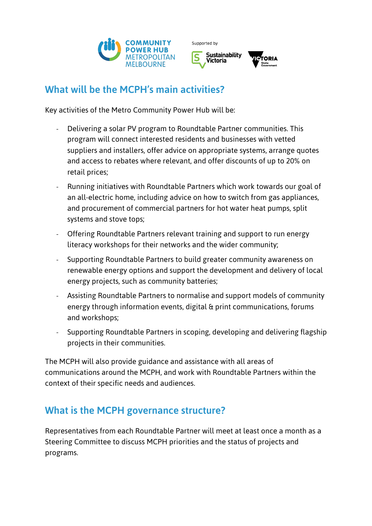

Supported by



#### What will be the MCPH's main activities?

Key activities of the Metro Community Power Hub will be:

- Delivering a solar PV program to Roundtable Partner communities. This program will connect interested residents and businesses with vetted suppliers and installers, offer advice on appropriate systems, arrange quotes and access to rebates where relevant, and offer discounts of up to 20% on retail prices;
- Running initiatives with Roundtable Partners which work towards our goal of an all-electric home, including advice on how to switch from gas appliances, and procurement of commercial partners for hot water heat pumps, split systems and stove tops;
- Offering Roundtable Partners relevant training and support to run energy literacy workshops for their networks and the wider community;
- Supporting Roundtable Partners to build greater community awareness on renewable energy options and support the development and delivery of local energy projects, such as community batteries;
- Assisting Roundtable Partners to normalise and support models of community energy through information events, digital & print communications, forums and workshops;
- Supporting Roundtable Partners in scoping, developing and delivering flagship projects in their communities.

The MCPH will also provide guidance and assistance with all areas of communications around the MCPH, and work with Roundtable Partners within the context of their specific needs and audiences.

## What is the MCPH governance structure?

Representatives from each Roundtable Partner will meet at least once a month as a Steering Committee to discuss MCPH priorities and the status of projects and programs.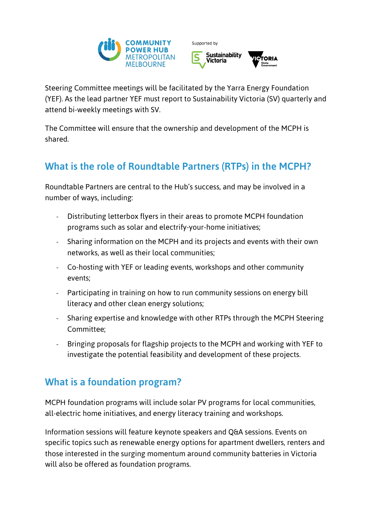

Supported by



Steering Committee meetings will be facilitated by the Yarra Energy Foundation (YEF). As the lead partner YEF must report to Sustainability Victoria (SV) quarterly and attend bi-weekly meetings with SV.

The Committee will ensure that the ownership and development of the MCPH is shared.

# What is the role of Roundtable Partners (RTPs) in the MCPH?

Roundtable Partners are central to the Hub's success, and may be involved in a number of ways, including:

- Distributing letterbox flyers in their areas to promote MCPH foundation programs such as solar and electrify-your-home initiatives;
- Sharing information on the MCPH and its projects and events with their own networks, as well as their local communities;
- Co-hosting with YEF or leading events, workshops and other community events;
- Participating in training on how to run community sessions on energy bill literacy and other clean energy solutions;
- Sharing expertise and knowledge with other RTPs through the MCPH Steering Committee;
- Bringing proposals for flagship projects to the MCPH and working with YEF to investigate the potential feasibility and development of these projects.

### What is a foundation program?

MCPH foundation programs will include solar PV programs for local communities, all-electric home initiatives, and energy literacy training and workshops.

Information sessions will feature keynote speakers and Q&A sessions. Events on specific topics such as renewable energy options for apartment dwellers, renters and those interested in the surging momentum around community batteries in Victoria will also be offered as foundation programs.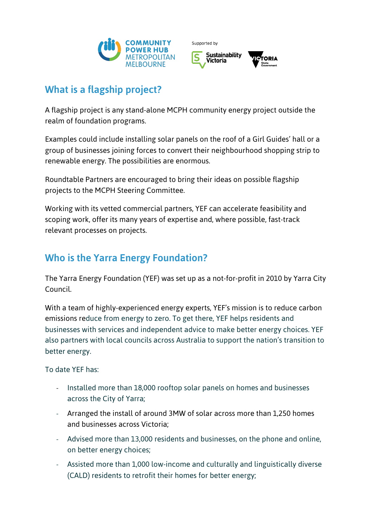



## What is a flagship project?

A flagship project is any stand-alone MCPH community energy project outside the realm of foundation programs.

Examples could include installing solar panels on the roof of a Girl Guides' hall or a group of businesses joining forces to convert their neighbourhood shopping strip to renewable energy. The possibilities are enormous.

Roundtable Partners are encouraged to bring their ideas on possible flagship projects to the MCPH Steering Committee.

Working with its vetted commercial partners, YEF can accelerate feasibility and scoping work, offer its many years of expertise and, where possible, fast-track relevant processes on projects.

# Who is the Yarra Energy Foundation?

The Yarra Energy Foundation (YEF) was set up as a not-for-profit in 2010 by Yarra City Council.

With a team of highly-experienced energy experts, YEF's mission is to reduce carbon emissions reduce from energy to zero. To get there, YEF helps residents and businesses with services and independent advice to make better energy choices. YEF also partners with local councils across Australia to support the nation's transition to better energy.

To date YEF has:

- Installed more than 18,000 rooftop solar panels on homes and businesses across the City of Yarra;
- Arranged the install of around 3MW of solar across more than 1,250 homes and businesses across Victoria;
- Advised more than 13,000 residents and businesses, on the phone and online, on better energy choices;
- Assisted more than 1,000 low-income and culturally and linguistically diverse (CALD) residents to retrofit their homes for better energy;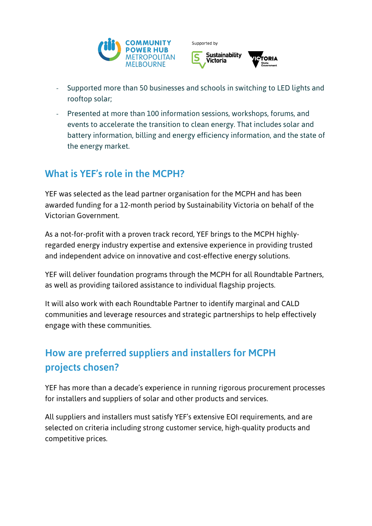





- Supported more than 50 businesses and schools in switching to LED lights and rooftop solar;
- Presented at more than 100 information sessions, workshops, forums, and events to accelerate the transition to clean energy. That includes solar and battery information, billing and energy efficiency information, and the state of the energy market.

# What is YEF's role in the MCPH?

YEF was selected as the lead partner organisation for the MCPH and has been awarded funding for a 12-month period by Sustainability Victoria on behalf of the Victorian Government.

As a not-for-profit with a proven track record, YEF brings to the MCPH highlyregarded energy industry expertise and extensive experience in providing trusted and independent advice on innovative and cost-effective energy solutions.

YEF will deliver foundation programs through the MCPH for all Roundtable Partners, as well as providing tailored assistance to individual flagship projects.

It will also work with each Roundtable Partner to identify marginal and CALD communities and leverage resources and strategic partnerships to help effectively engage with these communities.

# How are preferred suppliers and installers for MCPH projects chosen?

YEF has more than a decade's experience in running rigorous procurement processes for installers and suppliers of solar and other products and services.

All suppliers and installers must satisfy YEF's extensive EOI requirements, and are selected on criteria including strong customer service, high-quality products and competitive prices.